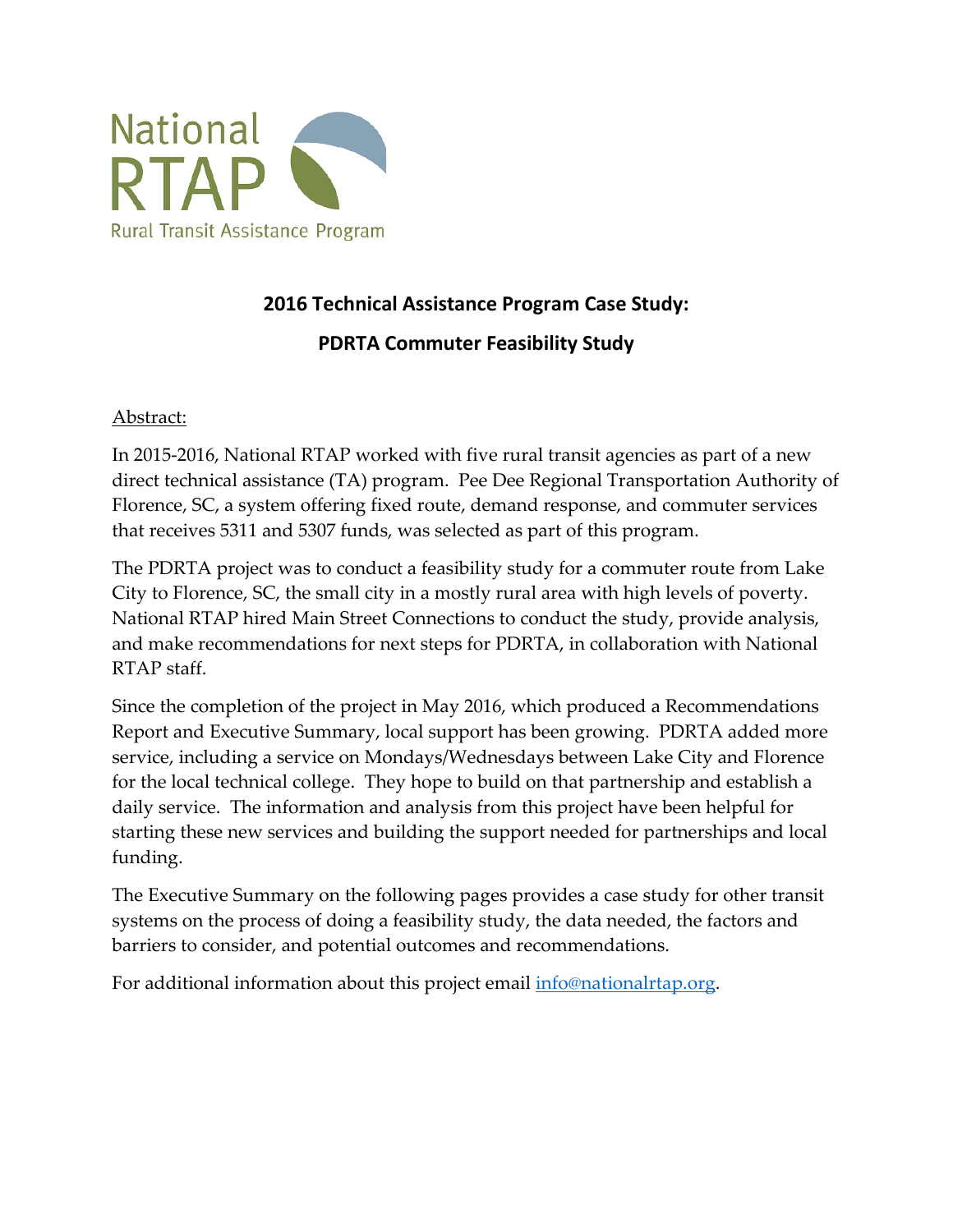

# **2016 Technical Assistance Program Case Study: PDRTA Commuter Feasibility Study**

### Abstract:

 In 2015-2016, National RTAP worked with five rural transit agencies as part of a new that receives 5311 and 5307 funds, was selected as part of this program. direct technical assistance (TA) program. Pee Dee Regional Transportation Authority of Florence, SC, a system offering fixed route, demand response, and commuter services

RTAP staff. The PDRTA project was to conduct a feasibility study for a commuter route from Lake City to Florence, SC, the small city in a mostly rural area with high levels of poverty. National RTAP hired Main Street Connections to conduct the study, provide analysis, and make recommendations for next steps for PDRTA, in collaboration with National

 Report and Executive Summary, local support has been growing. PDRTA added more for the local technical college. They hope to build on that partnership and establish a Since the completion of the project in May 2016, which produced a Recommendations service, including a service on Mondays/Wednesdays between Lake City and Florence daily service. The information and analysis from this project have been helpful for starting these new services and building the support needed for partnerships and local funding.

The Executive Summary on the following pages provides a case study for other transit systems on the process of doing a feasibility study, the data needed, the factors and barriers to consider, and potential outcomes and recommendations.

For additional information about this project email [info@nationalrtap.org.](mailto:info@nationalrtap.org)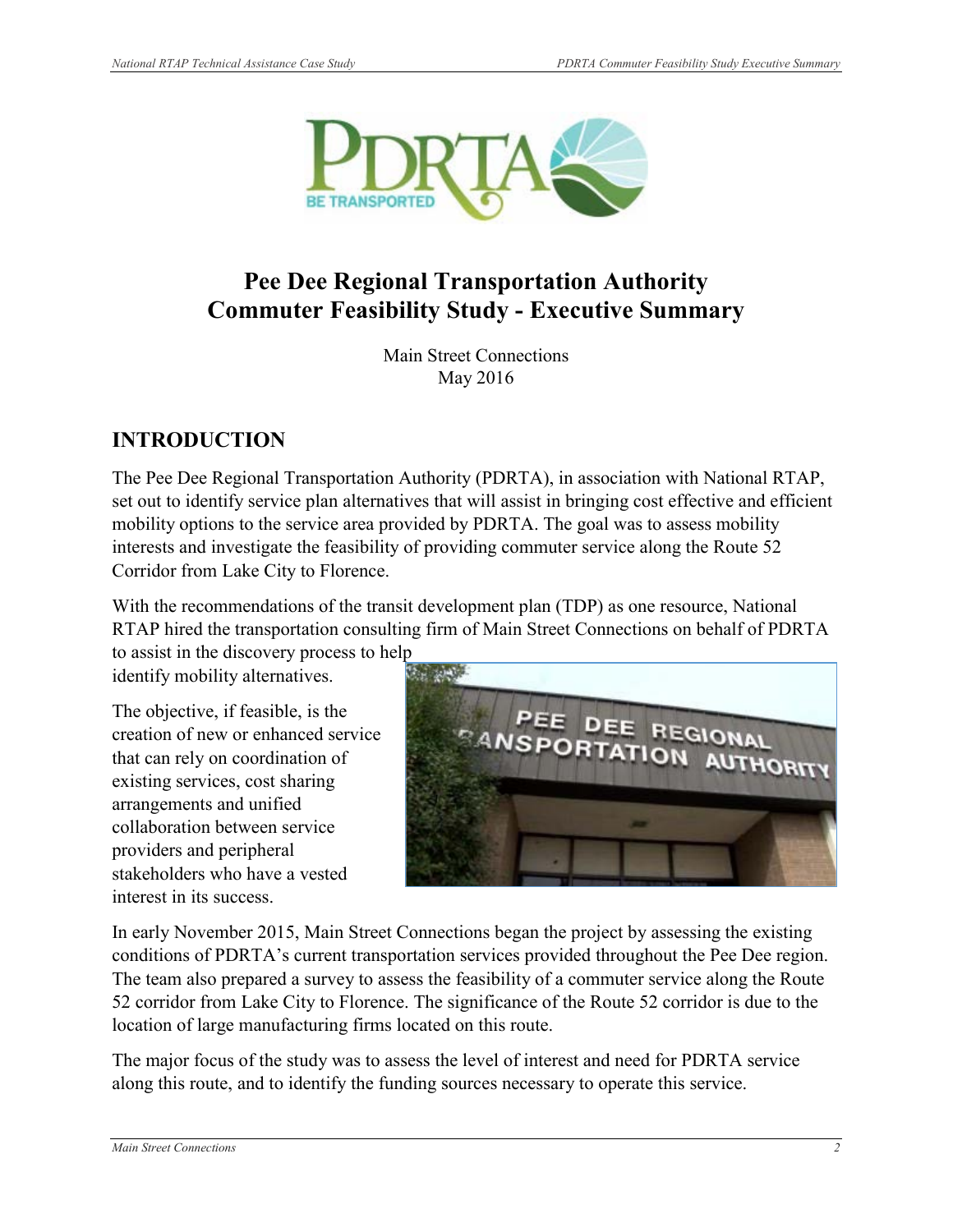

# **Commuter Feasibility Study - Executive Summary Pee Dee Regional Transportation Authority**

Main Street Connections May 2016

# **INTRODUCTION**

 set out to identify service plan alternatives that will assist in bringing cost effective and efficient mobility options to the service area provided by PDRTA. The goal was to assess mobility interests and investigate the feasibility of providing commuter service along the Route 52 The Pee Dee Regional Transportation Authority (PDRTA), in association with National RTAP, Corridor from Lake City to Florence.

With the recommendations of the transit development plan (TDP) as one resource, National RTAP hired the transportation consulting firm of Main Street Connections on behalf of PDRTA

 identify mobility alternatives. to assist in the discovery process to help

The objective, if feasible, is the creation of new or enhanced service that can rely on coordination of existing services, cost sharing arrangements and unified collaboration between service providers and peripheral stakeholders who have a vested interest in its success.



 The team also prepared a survey to assess the feasibility of a commuter service along the Route location of large manufacturing firms located on this route. In early November 2015, Main Street Connections began the project by assessing the existing conditions of PDRTA's current transportation services provided throughout the Pee Dee region. 52 corridor from Lake City to Florence. The significance of the Route 52 corridor is due to the

 The major focus of the study was to assess the level of interest and need for PDRTA service along this route, and to identify the funding sources necessary to operate this service.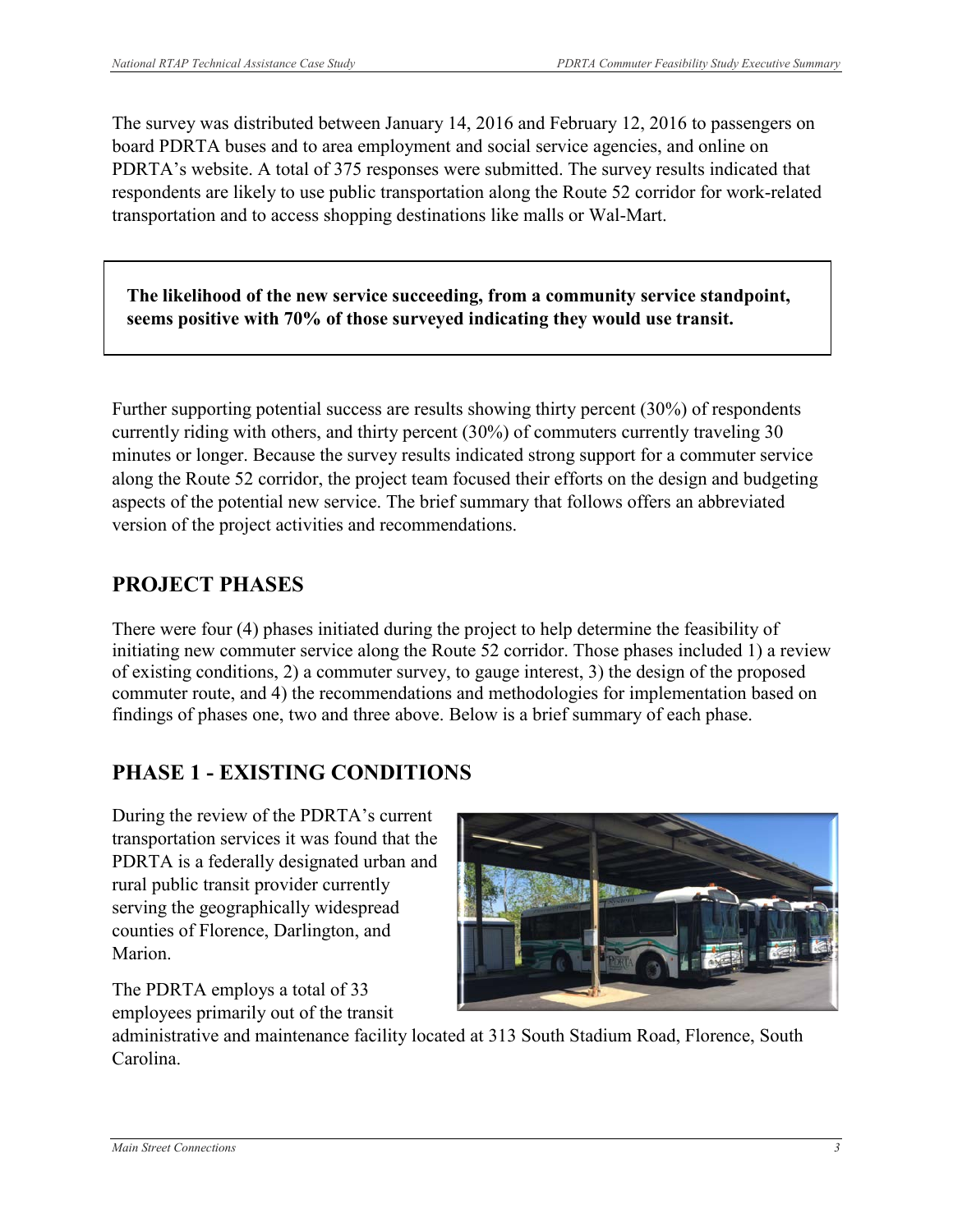board PDRTA buses and to area employment and social service agencies, and online on PDRTA's website. A total of 375 responses were submitted. The survey results indicated that The survey was distributed between January 14, 2016 and February 12, 2016 to passengers on respondents are likely to use public transportation along the Route 52 corridor for work-related transportation and to access shopping destinations like malls or Wal-Mart.

**The likelihood of the new service succeeding, from a community service standpoint, seems positive with 70% of those surveyed indicating they would use transit.**

 currently riding with others, and thirty percent (30%) of commuters currently traveling 30 aspects of the potential new service. The brief summary that follows offers an abbreviated Further supporting potential success are results showing thirty percent (30%) of respondents minutes or longer. Because the survey results indicated strong support for a commuter service along the Route 52 corridor, the project team focused their efforts on the design and budgeting version of the project activities and recommendations.

# **PROJECT PHASES**

 There were four (4) phases initiated during the project to help determine the feasibility of initiating new commuter service along the Route 52 corridor. Those phases included 1) a review commuter route, and 4) the recommendations and methodologies for implementation based on findings of phases one, two and three above. Below is a brief summary of each phase. of existing conditions, 2) a commuter survey, to gauge interest, 3) the design of the proposed

# **PHASE 1 - EXISTING CONDITIONS**

 During the review of the PDRTA's current PDRTA is a federally designated urban and serving the geographically widespread transportation services it was found that the rural public transit provider currently counties of Florence, Darlington, and Marion.

 employees primarily out of the transit The PDRTA employs a total of 33



administrative and maintenance facility located at 313 South Stadium Road, Florence, South Carolina.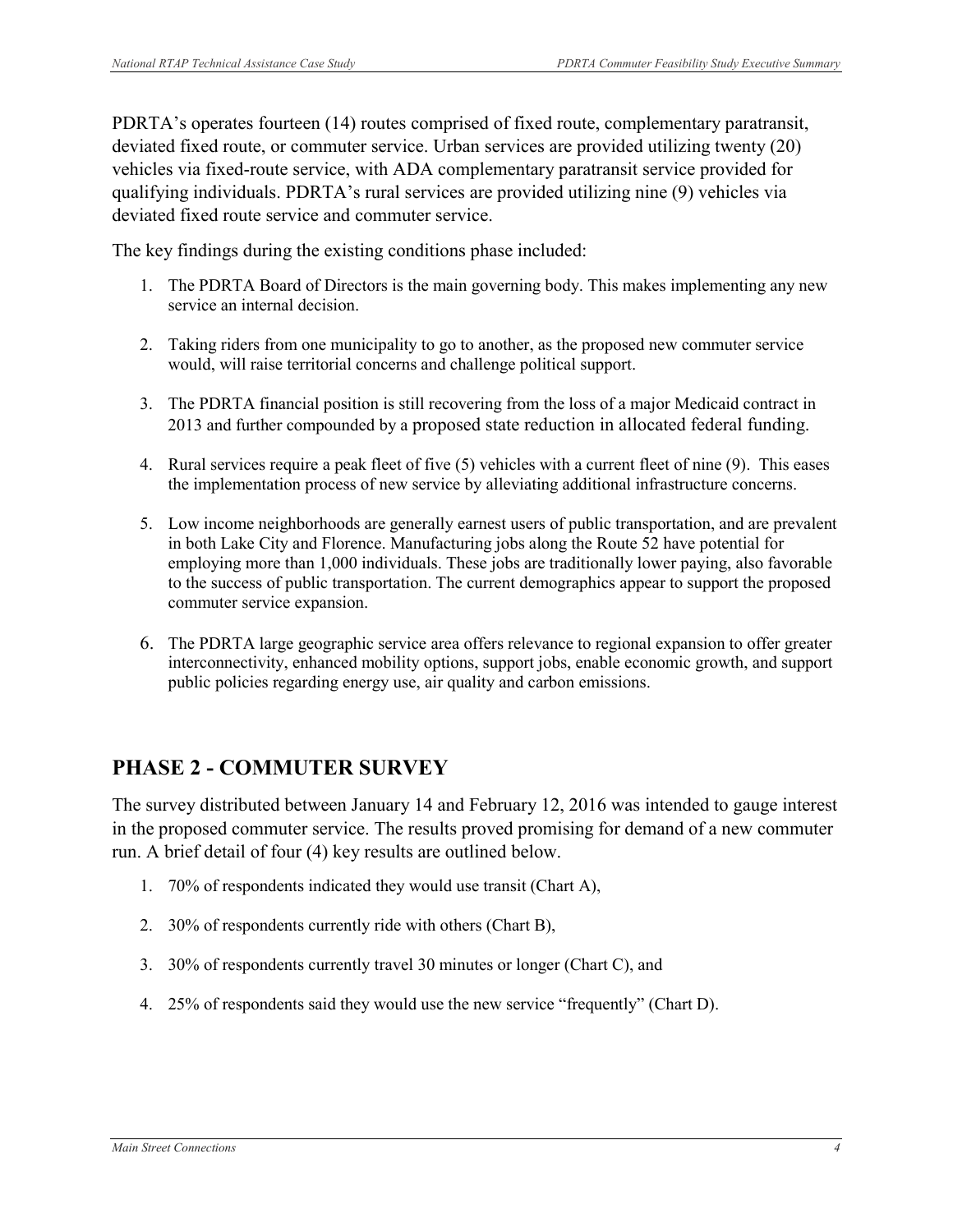deviated fixed route, or commuter service. Urban services are provided utilizing twenty (20) vehicles via fixed-route service, with ADA complementary paratransit service provided for deviated fixed route service and commuter service. PDRTA's operates fourteen (14) routes comprised of fixed route, complementary paratransit, qualifying individuals. PDRTA's rural services are provided utilizing nine (9) vehicles via

The key findings during the existing conditions phase included:

- service an internal decision. 1. The PDRTA Board of Directors is the main governing body. This makes implementing any new
- 2. Taking riders from one municipality to go to another, as the proposed new commuter service would, will raise territorial concerns and challenge political support.
- 3. The PDRTA financial position is still recovering from the loss of a major Medicaid contract in 2013 and further compounded by a proposed state reduction in allocated federal funding.
- 4. Rural services require a peak fleet of five (5) vehicles with a current fleet of nine (9). This eases the implementation process of new service by alleviating additional infrastructure concerns.
- 5. Low income neighborhoods are generally earnest users of public transportation, and are prevalent in both Lake City and Florence. Manufacturing jobs along the Route 52 have potential for employing more than 1,000 individuals. These jobs are traditionally lower paying, also favorable to the success of public transportation. The current demographics appear to support the proposed commuter service expansion.
- 6. The PDRTA large geographic service area offers relevance to regional expansion to offer greater interconnectivity, enhanced mobility options, support jobs, enable economic growth, and support public policies regarding energy use, air quality and carbon emissions.

# **PHASE 2 - COMMUTER SURVEY**

 in the proposed commuter service. The results proved promising for demand of a new commuter The survey distributed between January 14 and February 12, 2016 was intended to gauge interest run. A brief detail of four (4) key results are outlined below.

- 1. 70% of respondents indicated they would use transit (Chart A),
- 2. 30% of respondents currently ride with others (Chart B),
- 3. 30% of respondents currently travel 30 minutes or longer (Chart C), and
- 4. 25% of respondents said they would use the new service "frequently" (Chart D).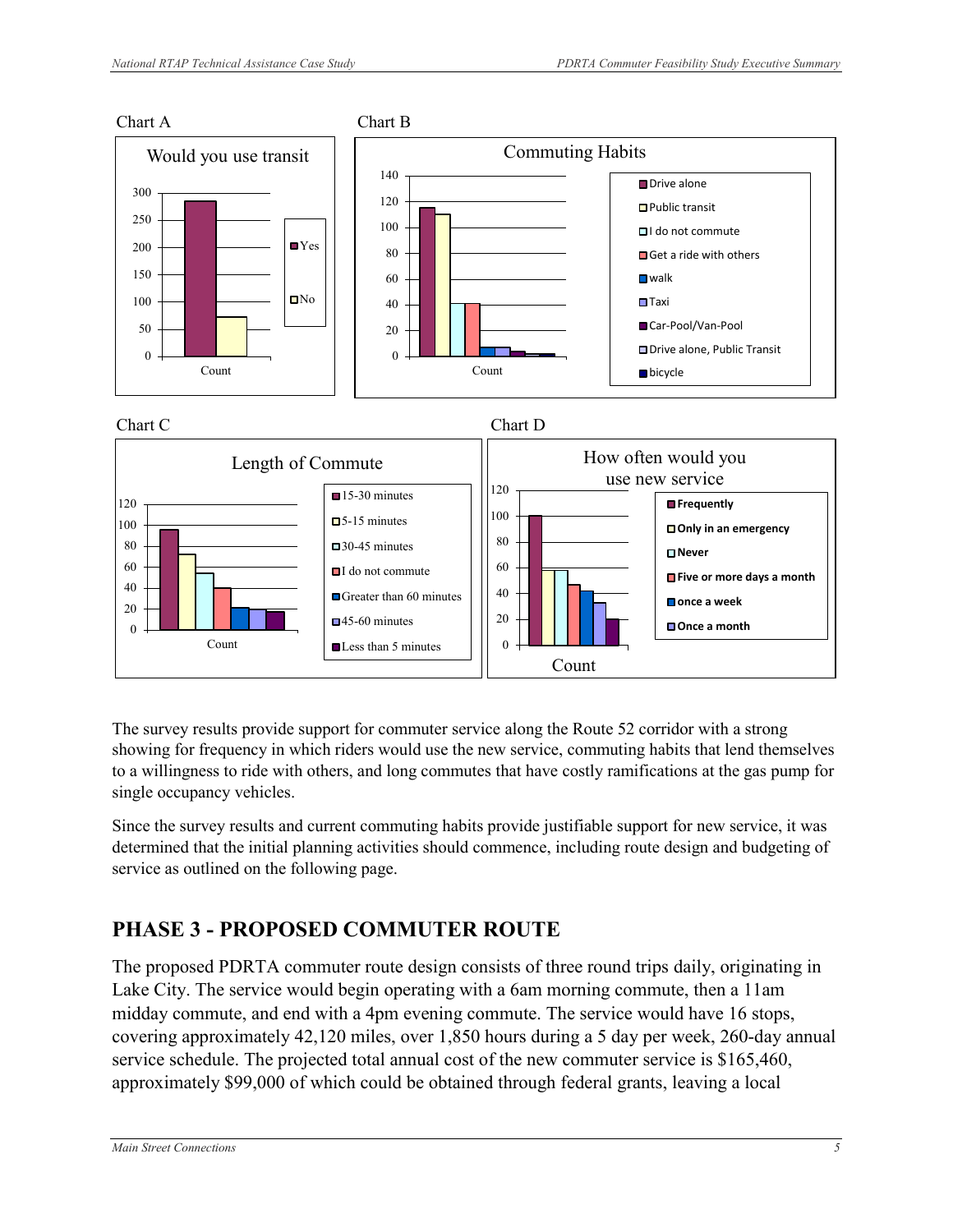

The survey results provide support for commuter service along the Route 52 corridor with a strong showing for frequency in which riders would use the new service, commuting habits that lend themselves to a willingness to ride with others, and long commutes that have costly ramifications at the gas pump for single occupancy vehicles.

Since the survey results and current commuting habits provide justifiable support for new service, it was determined that the initial planning activities should commence, including route design and budgeting of service as outlined on the following page.

# **PHASE 3 - PROPOSED COMMUTER ROUTE**

The proposed PDRTA commuter route design consists of three round trips daily, originating in Lake City. The service would begin operating with a 6am morning commute, then a 11am midday commute, and end with a 4pm evening commute. The service would have 16 stops, covering approximately 42,120 miles, over 1,850 hours during a 5 day per week, 260-day annual service schedule. The projected total annual cost of the new commuter service is \$165,460, approximately \$99,000 of which could be obtained through federal grants, leaving a local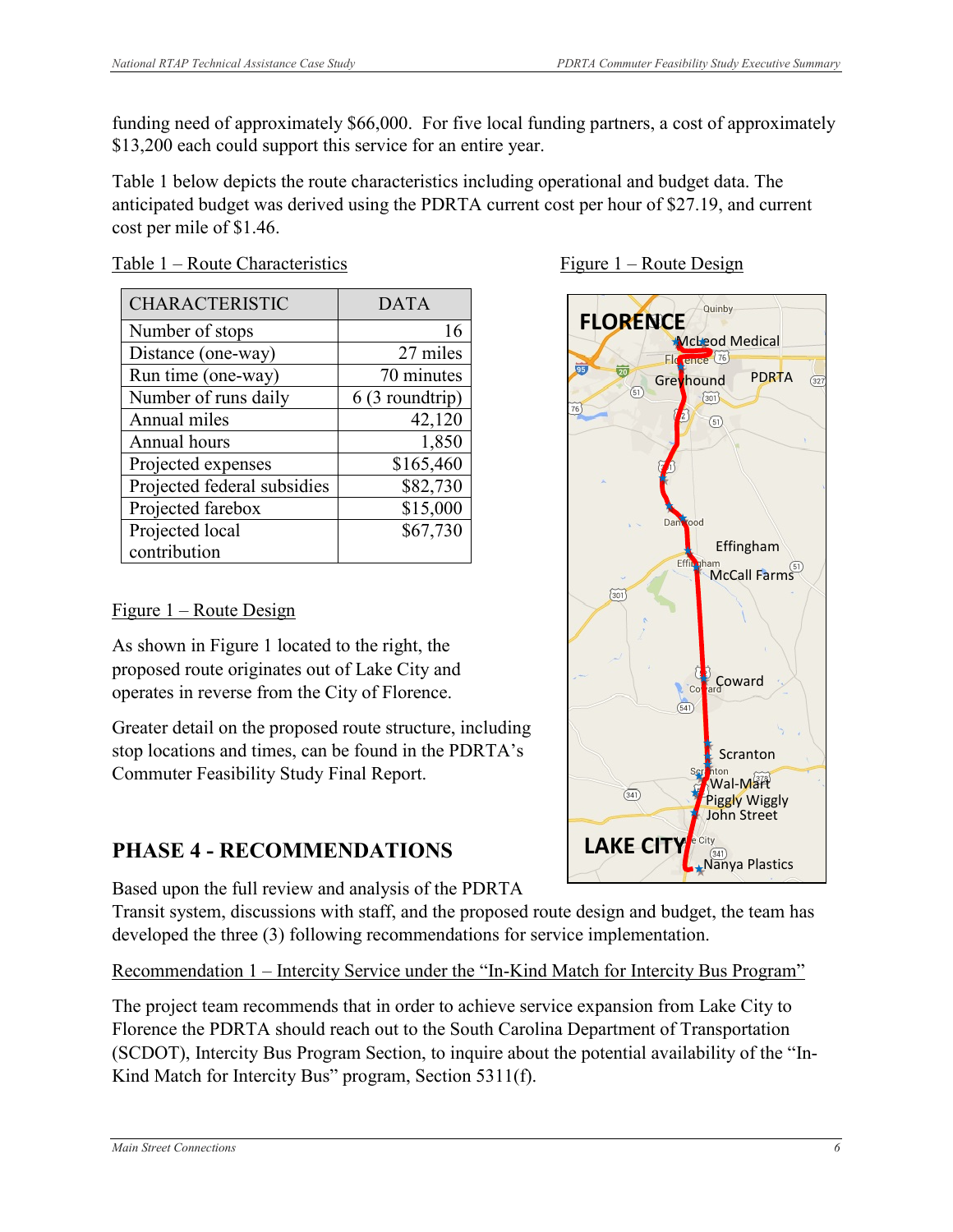funding need of approximately \$66,000. For five local funding partners, a cost of approximately \$13,200 each could support this service for an entire year.

 anticipated budget was derived using the PDRTA current cost per hour of \$27.19, and current Table 1 below depicts the route characteristics including operational and budget data. The cost per mile of \$1.46.

| <b>CHARACTERISTIC</b>       | <b>DATA</b>     |
|-----------------------------|-----------------|
| Number of stops             | 16              |
| Distance (one-way)          | 27 miles        |
| Run time (one-way)          | 70 minutes      |
| Number of runs daily        | 6 (3 roundtrip) |
| Annual miles                | 42,120          |
| Annual hours                | 1,850           |
| Projected expenses          | \$165,460       |
| Projected federal subsidies | \$82,730        |
| Projected farebox           | \$15,000        |
| Projected local             | \$67,730        |
| contribution                |                 |

Table 1 – Route Characteristics Figure 1 – Route Design

### Figure 1 – Route Design

 As shown in Figure 1 located to the right, the proposed route originates out of Lake City and operates in reverse from the City of Florence.

 Commuter Feasibility Study Final Report. Greater detail on the proposed route structure, including stop locations and times, can be found in the PDRTA's

# **PHASE 4 - RECOMMENDATIONS**

Based upon the full review and analysis of the PDRTA

 Transit system, discussions with staff, and the proposed route design and budget, the team has developed the three (3) following recommendations for service implementation.

Recommendation 1 – Intercity Service under the "In-Kind Match for Intercity Bus Program"

 The project team recommends that in order to achieve service expansion from Lake City to (SCDOT), Intercity Bus Program Section, to inquire about the potential availability of the "In- Kind Match for Intercity Bus" program, Section 5311(f). Florence the PDRTA should reach out to the South Carolina Department of Transportation



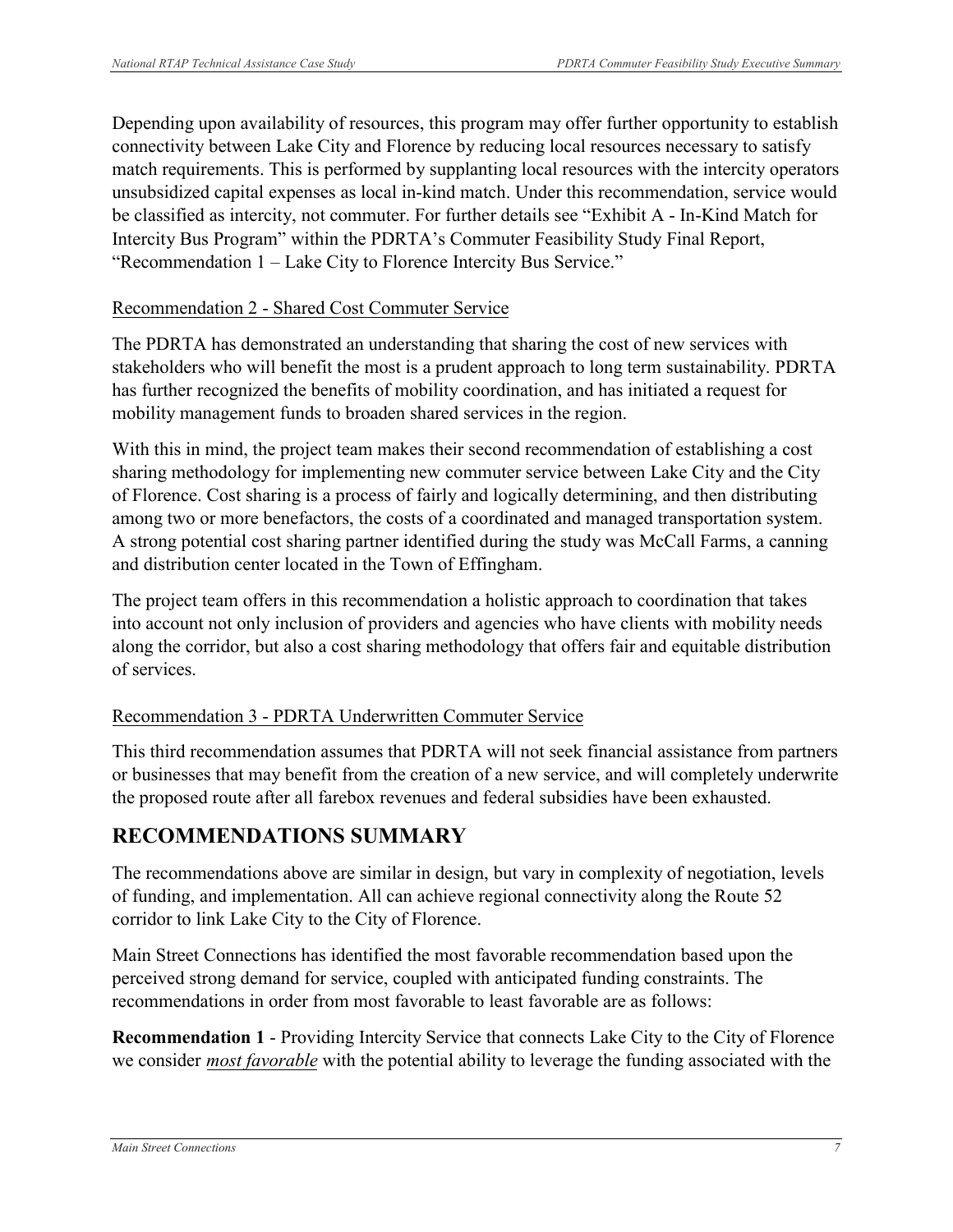connectivity between Lake City and Florence by reducing local resources necessary to satisfy unsubsidized capital expenses as local in-kind match. Under this recommendation, service would be classified as intercity, not commuter. For further details see "Exhibit A - In-Kind Match for Intercity Bus Program" within the PDRTA's Commuter Feasibility Study Final Report, "Recommendation 1 – Lake City to Florence Intercity Bus Service." Depending upon availability of resources, this program may offer further opportunity to establish match requirements. This is performed by supplanting local resources with the intercity operators

### Recommendation 2 - Shared Cost Commuter Service

 has further recognized the benefits of mobility coordination, and has initiated a request for The PDRTA has demonstrated an understanding that sharing the cost of new services with stakeholders who will benefit the most is a prudent approach to long term sustainability. PDRTA mobility management funds to broaden shared services in the region.

 With this in mind, the project team makes their second recommendation of establishing a cost A strong potential cost sharing partner identified during the study was McCall Farms, a canning sharing methodology for implementing new commuter service between Lake City and the City of Florence. Cost sharing is a process of fairly and logically determining, and then distributing among two or more benefactors, the costs of a coordinated and managed transportation system. and distribution center located in the Town of Effingham.

 along the corridor, but also a cost sharing methodology that offers fair and equitable distribution of services. The project team offers in this recommendation a holistic approach to coordination that takes into account not only inclusion of providers and agencies who have clients with mobility needs

### Recommendation 3 - PDRTA Underwritten Commuter Service

 the proposed route after all farebox revenues and federal subsidies have been exhausted. This third recommendation assumes that PDRTA will not seek financial assistance from partners or businesses that may benefit from the creation of a new service, and will completely underwrite

#### l, **RECOMMENDATIONS SUMMARY**

The recommendations above are similar in design, but vary in complexity of negotiation, levels of funding, and implementation. All can achieve regional connectivity along the Route 52 corridor to link Lake City to the City of Florence.

c<br>1 recommendations in order from most favorable to least favorable are as follows: Main Street Connections has identified the most favorable recommendation based upon the perceived strong demand for service, coupled with anticipated funding constraints. The

֦֧֦֖֖֖֖֖֖֖֖֖֖֖֖֚֚֚֚֚֚֚֚֚֚֚֚֚֡֕<br>֧ׅ֚֜ **Recommendation 1** - Providing Intercity Service that connects Lake City to the City of Florence we consider *most favorable* with the potential ability to leverage the funding associated with the